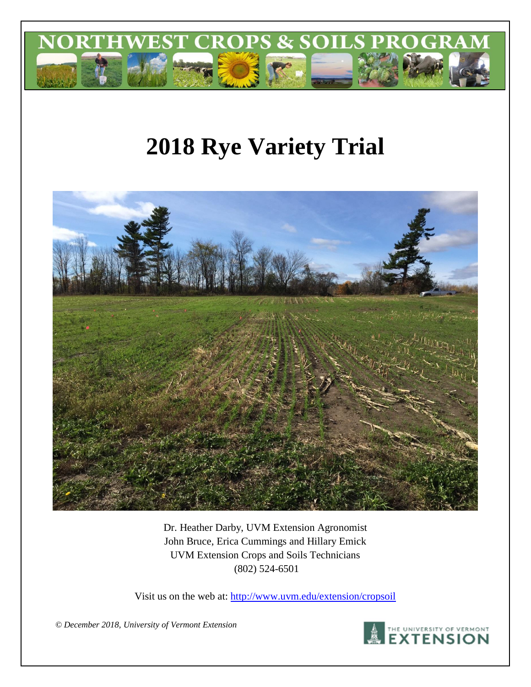

# **2018 Rye Variety Trial**



Dr. Heather Darby, UVM Extension Agronomist John Bruce, Erica Cummings and Hillary Emick UVM Extension Crops and Soils Technicians (802) 524-6501

Visit us on the web at:<http://www.uvm.edu/extension/cropsoil>

*© December 2018, University of Vermont Extension*

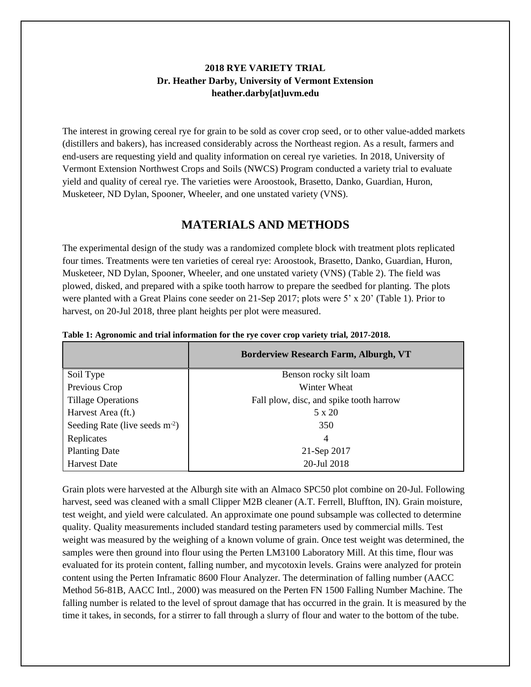### **2018 RYE VARIETY TRIAL Dr. Heather Darby, University of Vermont Extension heather.darby[at]uvm.edu**

The interest in growing cereal rye for grain to be sold as cover crop seed, or to other value-added markets (distillers and bakers), has increased considerably across the Northeast region. As a result, farmers and end-users are requesting yield and quality information on cereal rye varieties. In 2018, University of Vermont Extension Northwest Crops and Soils (NWCS) Program conducted a variety trial to evaluate yield and quality of cereal rye. The varieties were Aroostook, Brasetto, Danko, Guardian, Huron, Musketeer, ND Dylan, Spooner, Wheeler, and one unstated variety (VNS).

# **MATERIALS AND METHODS**

The experimental design of the study was a randomized complete block with treatment plots replicated four times. Treatments were ten varieties of cereal rye: Aroostook, Brasetto, Danko, Guardian, Huron, Musketeer, ND Dylan, Spooner, Wheeler, and one unstated variety (VNS) (Table 2). The field was plowed, disked, and prepared with a spike tooth harrow to prepare the seedbed for planting. The plots were planted with a Great Plains cone seeder on 21-Sep 2017; plots were 5' x 20' (Table 1). Prior to harvest, on 20-Jul 2018, three plant heights per plot were measured.

|                                  | <b>Borderview Research Farm, Alburgh, VT</b> |
|----------------------------------|----------------------------------------------|
| Soil Type                        | Benson rocky silt loam                       |
| Previous Crop                    | Winter Wheat                                 |
| <b>Tillage Operations</b>        | Fall plow, disc, and spike tooth harrow      |
| Harvest Area (ft.)               | $5 \times 20$                                |
| Seeding Rate (live seeds $m-2$ ) | 350                                          |
| Replicates                       | 4                                            |
| <b>Planting Date</b>             | 21-Sep 2017                                  |
| <b>Harvest Date</b>              | 20-Jul 2018                                  |

**Table 1: Agronomic and trial information for the rye cover crop variety trial, 2017-2018.**

Grain plots were harvested at the Alburgh site with an Almaco SPC50 plot combine on 20-Jul. Following harvest, seed was cleaned with a small Clipper M2B cleaner (A.T. Ferrell, Bluffton, IN). Grain moisture, test weight, and yield were calculated. An approximate one pound subsample was collected to determine quality. Quality measurements included standard testing parameters used by commercial mills. Test weight was measured by the weighing of a known volume of grain. Once test weight was determined, the samples were then ground into flour using the Perten LM3100 Laboratory Mill. At this time, flour was evaluated for its protein content, falling number, and mycotoxin levels. Grains were analyzed for protein content using the Perten Inframatic 8600 Flour Analyzer. The determination of falling number (AACC Method 56-81B, AACC Intl., 2000) was measured on the Perten FN 1500 Falling Number Machine. The falling number is related to the level of sprout damage that has occurred in the grain. It is measured by the time it takes, in seconds, for a stirrer to fall through a slurry of flour and water to the bottom of the tube.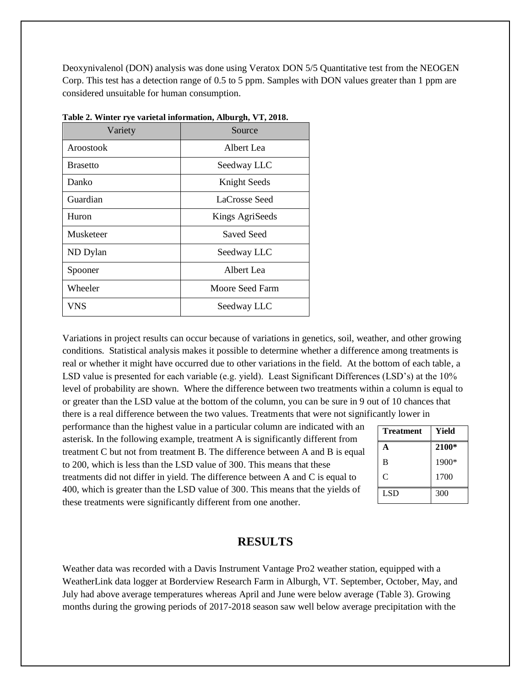Deoxynivalenol (DON) analysis was done using Veratox DON 5/5 Quantitative test from the NEOGEN Corp. This test has a detection range of 0.5 to 5 ppm. Samples with DON values greater than 1 ppm are considered unsuitable for human consumption.

| Variety         | Source          |
|-----------------|-----------------|
| Aroostook       | Albert Lea      |
| <b>Brasetto</b> | Seedway LLC     |
| Danko           | Knight Seeds    |
| Guardian        | LaCrosse Seed   |
| Huron           | Kings AgriSeeds |
| Musketeer       | Saved Seed      |
| ND Dylan        | Seedway LLC     |
| Spooner         | Albert Lea      |
| Wheeler         | Moore Seed Farm |
| <b>VNS</b>      | Seedway LLC     |

**Table 2. Winter rye varietal information, Alburgh, VT, 2018.**

Variations in project results can occur because of variations in genetics, soil, weather, and other growing conditions. Statistical analysis makes it possible to determine whether a difference among treatments is real or whether it might have occurred due to other variations in the field. At the bottom of each table, a LSD value is presented for each variable (e.g. yield). Least Significant Differences (LSD's) at the 10% level of probability are shown. Where the difference between two treatments within a column is equal to or greater than the LSD value at the bottom of the column, you can be sure in 9 out of 10 chances that there is a real difference between the two values. Treatments that were not significantly lower in

performance than the highest value in a particular column are indicated with an asterisk. In the following example, treatment A is significantly different from treatment C but not from treatment B. The difference between A and B is equal to 200, which is less than the LSD value of 300. This means that these treatments did not differ in yield. The difference between A and C is equal to 400, which is greater than the LSD value of 300. This means that the yields of these treatments were significantly different from one another.

| <b>Treatment</b> | <b>Yield</b> |
|------------------|--------------|
| A                | 2100*        |
| B                | 1900*        |
| C                | 1700         |
| LSD.             | 300          |

#### **RESULTS**

Weather data was recorded with a Davis Instrument Vantage Pro2 weather station, equipped with a WeatherLink data logger at Borderview Research Farm in Alburgh, VT. September, October, May, and July had above average temperatures whereas April and June were below average (Table 3). Growing months during the growing periods of 2017-2018 season saw well below average precipitation with the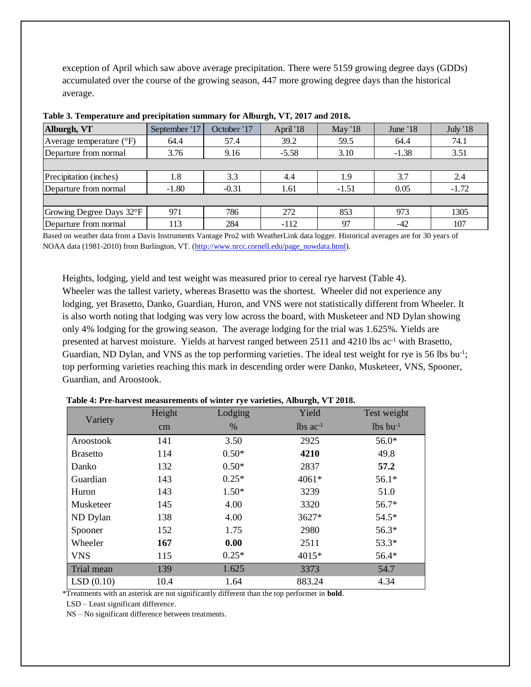exception of April which saw above average precipitation. There were 5159 growing degree days (GDDs) accumulated over the course of the growing season, 447 more growing degree days than the historical average.

| Alburgh, VT                         | September '17 | October '17 | April '18 | May $18$ | June '18 | <b>July '18</b> |
|-------------------------------------|---------------|-------------|-----------|----------|----------|-----------------|
| Average temperature $({}^{\circ}F)$ | 64.4          | 57.4        | 39.2      | 59.5     | 64.4     | 74.1            |
| Departure from normal               | 3.76          | 9.16        | $-5.58$   | 3.10     | $-1.38$  | 3.51            |
|                                     |               |             |           |          |          |                 |
| Precipitation (inches)              | 1.8           | 3.3         | 4.4       | 1.9      | 3.7      | 2.4             |
| Departure from normal               | $-1.80$       | $-0.31$     | 1.61      | $-1.51$  | 0.05     | $-1.72$         |
|                                     |               |             |           |          |          |                 |
| Growing Degree Days 32°F            | 971           | 786         | 272       | 853      | 973      | 1305            |
| Departure from normal               | 113           | 284         | $-112$    | 97       | $-42$    | 107             |

**Table 3. Temperature and precipitation summary for Alburgh, VT, 2017 and 2018.**

Based on weather data from a Davis Instruments Vantage Pro2 with WeatherLink data logger. Historical averages are for 30 years of NOAA data (1981-2010) from Burlington, VT. [\(http://www.nrcc.cornell.edu/page\\_nowdata.html\)](http://www.nrcc.cornell.edu/page_nowdata.html).

Heights, lodging, yield and test weight was measured prior to cereal rye harvest (Table 4). Wheeler was the tallest variety, whereas Brasetto was the shortest. Wheeler did not experience any lodging, yet Brasetto, Danko, Guardian, Huron, and VNS were not statistically different from Wheeler. It is also worth noting that lodging was very low across the board, with Musketeer and ND Dylan showing only 4% lodging for the growing season. The average lodging for the trial was 1.625%. Yields are presented at harvest moisture. Yields at harvest ranged between  $2511$  and  $4210$  lbs ac<sup>-1</sup> with Brasetto, Guardian, ND Dylan, and VNS as the top performing varieties. The ideal test weight for rye is 56 lbs bu<sup>-1</sup>; top performing varieties reaching this mark in descending order were Danko, Musketeer, VNS, Spooner, Guardian, and Aroostook.

| Variety         | Height | Lodging | Yield                  | Test weight            |
|-----------------|--------|---------|------------------------|------------------------|
|                 | cm     | $\%$    | $lbs$ ac <sup>-1</sup> | $lbs$ bu <sup>-1</sup> |
| Aroostook       | 141    | 3.50    | 2925                   | $56.0*$                |
| <b>Brasetto</b> | 114    | $0.50*$ | 4210                   | 49.8                   |
| Danko           | 132    | $0.50*$ | 2837                   | 57.2                   |
| Guardian        | 143    | $0.25*$ | 4061*                  | $56.1*$                |
| Huron           | 143    | $1.50*$ | 3239                   | 51.0                   |
| Musketeer       | 145    | 4.00    | 3320                   | 56.7*                  |
| ND Dylan        | 138    | 4.00    | 3627*                  | $54.5*$                |
| Spooner         | 152    | 1.75    | 2980                   | $56.3*$                |
| Wheeler         | 167    | 0.00    | 2511                   | 53.3*                  |
| <b>VNS</b>      | 115    | $0.25*$ | 4015*                  | 56.4*                  |
| Trial mean      | 139    | 1.625   | 3373                   | 54.7                   |
| LSD(0.10)       | 10.4   | 1.64    | 883.24                 | 4.34                   |

**Table 4: Pre-harvest measurements of winter rye varieties, Alburgh, VT 2018.**

\*Treatments with an asterisk are not significantly different than the top performer in **bold**.

LSD – Least significant difference.

NS – No significant difference between treatments.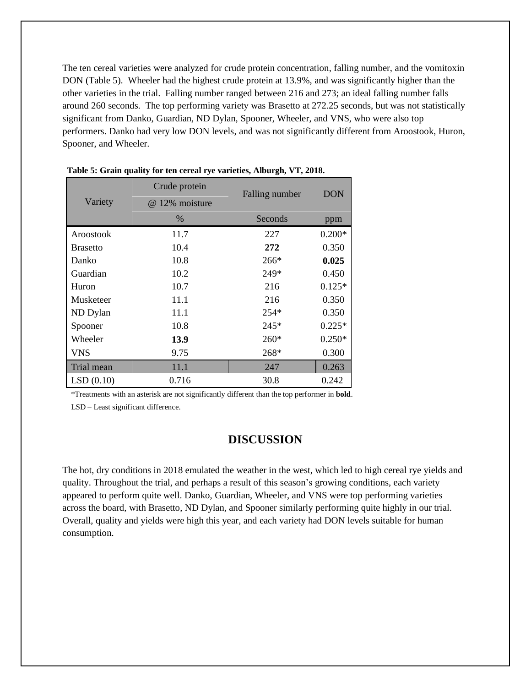The ten cereal varieties were analyzed for crude protein concentration, falling number, and the vomitoxin DON (Table 5). Wheeler had the highest crude protein at 13.9%, and was significantly higher than the other varieties in the trial. Falling number ranged between 216 and 273; an ideal falling number falls around 260 seconds. The top performing variety was Brasetto at 272.25 seconds, but was not statistically significant from Danko, Guardian, ND Dylan, Spooner, Wheeler, and VNS, who were also top performers. Danko had very low DON levels, and was not significantly different from Aroostook, Huron, Spooner, and Wheeler.

|                 | Crude protein  | Falling number | <b>DON</b> |
|-----------------|----------------|----------------|------------|
| Variety         | @ 12% moisture |                |            |
|                 | $\%$           | Seconds        | ppm        |
| Aroostook       | 11.7           | 227            | $0.200*$   |
| <b>Brasetto</b> | 10.4           | 272            | 0.350      |
| Danko           | 10.8           | $266*$         | 0.025      |
| Guardian        | 10.2           | 249*           | 0.450      |
| Huron           | 10.7           | 216            | $0.125*$   |
| Musketeer       | 11.1           | 216            | 0.350      |
| ND Dylan        | 11.1           | 254*           | 0.350      |
| Spooner         | 10.8           | 245*           | $0.225*$   |
| Wheeler         | 13.9           | $260*$         | $0.250*$   |
| <b>VNS</b>      | 9.75           | 268*           | 0.300      |
| Trial mean      | 11.1           | 247            | 0.263      |
| LSD(0.10)       | 0.716          | 30.8           | 0.242      |

**Table 5: Grain quality for ten cereal rye varieties, Alburgh, VT, 2018.**

\*Treatments with an asterisk are not significantly different than the top performer in **bold**.

LSD – Least significant difference.

## **DISCUSSION**

The hot, dry conditions in 2018 emulated the weather in the west, which led to high cereal rye yields and quality. Throughout the trial, and perhaps a result of this season's growing conditions, each variety appeared to perform quite well. Danko, Guardian, Wheeler, and VNS were top performing varieties across the board, with Brasetto, ND Dylan, and Spooner similarly performing quite highly in our trial. Overall, quality and yields were high this year, and each variety had DON levels suitable for human consumption.